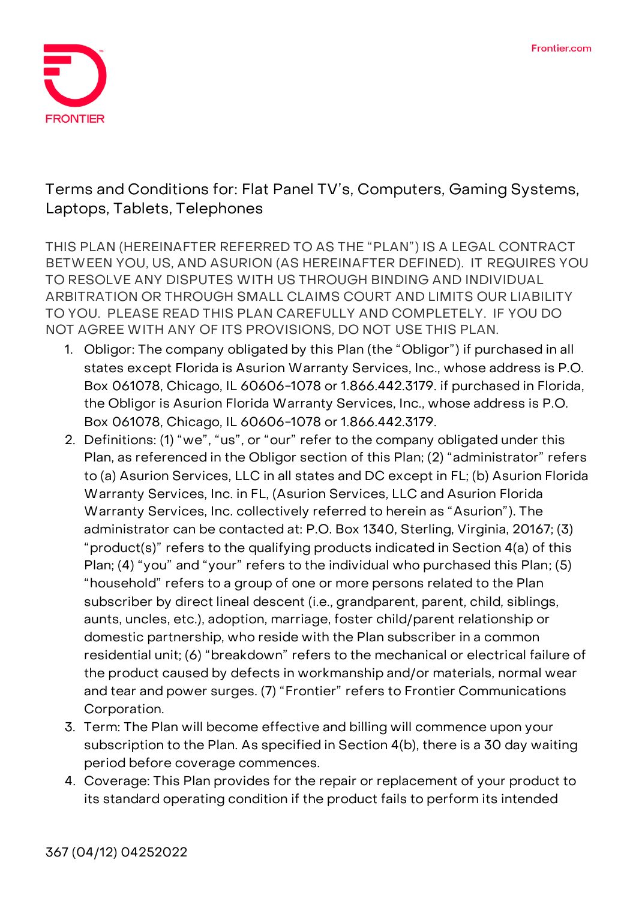

**Terms and Conditions for: Flat Panel TV's, Computers, Gaming Systems, Laptops, Tablets, Telephones**

**THIS PLAN (HEREINAFTER REFERRED TO AS THE "PLAN") IS A LEGAL CONTRACT BETWEEN YOU, US, AND ASURION (AS HEREINAFTER DEFINED). IT REQUIRES YOU TO RESOLVE ANY DISPUTES WITH US THROUGH BINDING AND INDIVIDUAL ARBITRATION OR THROUGH SMALL CLAIMS COURT AND LIMITS OUR LIABILITY TO YOU. PLEASE READ THIS PLAN CAREFULLY AND COMPLETELY. IF YOU DO NOT AGREE WITH ANY OF ITS PROVISIONS, DO NOT USE THIS PLAN.** 

- 1. **Obligor:** The company obligated by this Plan (the "Obligor") if purchased in all states except Florida is Asurion Warranty Services, Inc., whose address is P.O. Box 061078, Chicago, IL 60606-1078 or 1.866.442.3179. if purchased in Florida, the Obligor is Asurion Florida Warranty Services, Inc., whose address is P.O. Box 061078, Chicago, IL 60606-1078 or 1.866.442.3179.
- 2. **Definitions:** (1) "we", "us", or "our" refer to the company obligated under this Plan, as referenced in the Obligor section of this Plan; (2) "administrator" refers to (a) Asurion Services, LLC in all states and DC except in FL; (b) Asurion Florida Warranty Services, Inc. in FL, (Asurion Services, LLC and Asurion Florida Warranty Services, Inc. collectively referred to herein as "Asurion"). The administrator can be contacted at: P.O. Box 1340, Sterling, Virginia, 20167; (3) "product(s)" refers to the qualifying products indicated in Section 4(a) of this Plan; (4) "you" and "your" refers to the individual who purchased this Plan; (5) "household" refers to a group of one or more persons related to the Plan subscriber by direct lineal descent (i.e., grandparent, parent, child, siblings, aunts, uncles, etc.), adoption, marriage, foster child/parent relationship or domestic partnership, who reside with the Plan subscriber in a common residential unit; (6) "breakdown" refers to the mechanical or electrical failure of the product caused by defects in workmanship and/or materials, normal wear and tear and power surges. (7) "Frontier" refers to Frontier Communications Corporation.
- **3. Term:** The Plan will become effective and billing will commence upon your subscription to the Plan. **As specified in Section 4(b), there is a 30 day waiting period before coverage commences.**
- 4. **Coverage:** This Plan provides for the repair or replacement of your product to its standard operating condition if the product fails to perform its intended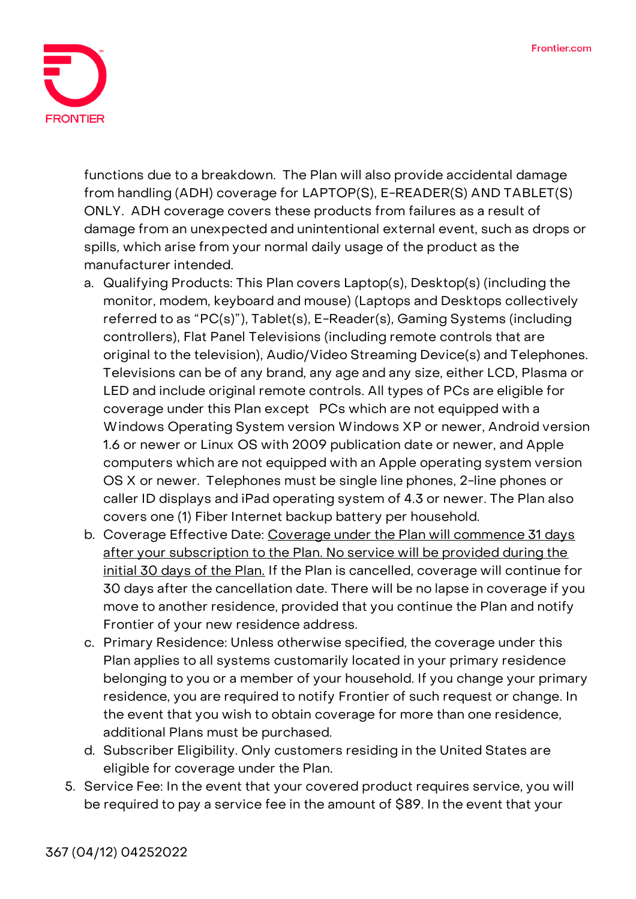

functions due to a breakdown. The Plan will also provide accidental damage from handling (ADH) coverage for **LAPTOP(S), E-READER(S) AND TABLET(S) ONLY**. ADH coverage covers these products from failures as a result of damage from an unexpected and unintentional external event, such as drops or spills, which arise from your normal daily usage of the product as the manufacturer intended.

- a. Qualifying Products: This Plan covers Laptop(s), Desktop(s) (including the monitor, modem, keyboard and mouse) (Laptops and Desktops collectively referred to as "PC(s)"), Tablet(s), E-Reader(s), Gaming Systems (including controllers), Flat Panel Televisions (including remote controls that are original to the television), Audio/Video Streaming Device(s) and Telephones. Televisions can be of any brand, any age and any size, either LCD, Plasma or LED and include original remote controls. All types of PCs are eligible for coverage under this Plan except PCs which are not equipped with a Windows Operating System version Windows XP or newer, Android version 1.6 or newer or Linux OS with 2009 publication date or newer, and Apple computers which are not equipped with an Apple operating system version OS X or newer. Telephones must be single line phones, 2-line phones or caller ID displays and iPad operating system of 4.3 or newer. The Plan also covers one (1) Fiber Internet backup battery per household.
- b. Coverage Effective Date: **Coverage under the Plan will commence 31 days after your subscription to the Plan. No service will be provided during the initial 30 days of the Plan. If the Plan is cancelled, coverage will continue for 30 days after the cancellation date.** There will be no lapse in coverage if you move to another residence, provided that you continue the Plan and notify Frontier of your new residence address.
- c. Primary Residence: Unless otherwise specified, the coverage under this Plan applies to all systems customarily located in your primary residence belonging to you or a member of your household. If you change your primary residence, you are required to notify Frontier of such request or change. In the event that you wish to obtain coverage for more than one residence, additional Plans must be purchased.
- d. Subscriber Eligibility. Only customers residing in the United States are eligible for coverage under the Plan.
- 5. **Service Fee:** In the event that your covered product requires service, you will be required to pay a service fee in the amount of \$89. In the event that your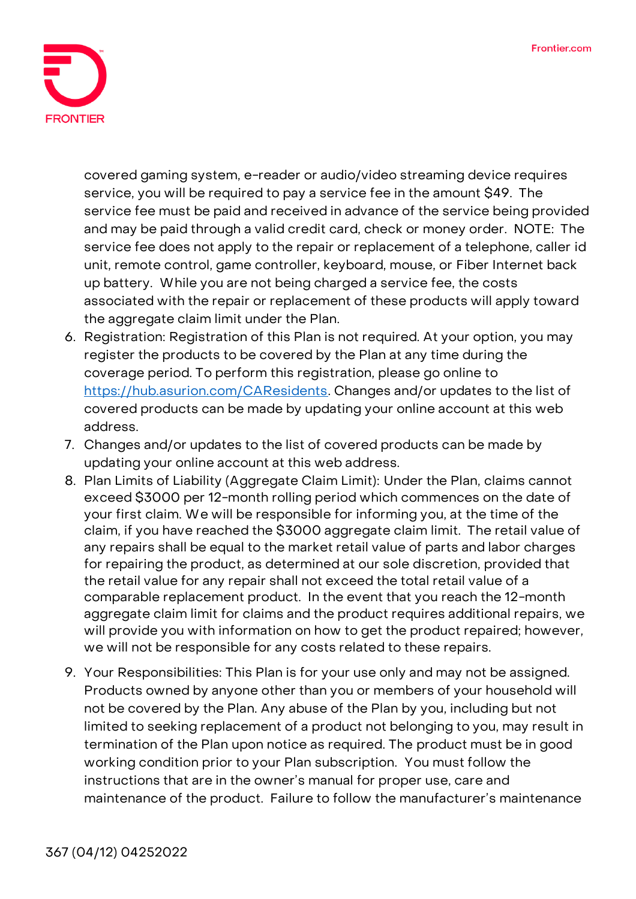

covered gaming system, e-reader or audio/video streaming device requires service, you will be required to pay a service fee in the amount \$49. The service fee must be paid and received in advance of the service being provided and may be paid through a valid credit card, check or money order. NOTE: The service fee does not apply to the repair or replacement of a telephone, caller id unit, remote control, game controller, keyboard, mouse, or Fiber Internet back up battery. While you are not being charged a service fee, the costs associated with the repair or replacement of these products will apply toward the aggregate claim limit under the Plan.

- 6. **Registration:** Registration of this Plan is not required. At your option, you may register the products to be covered by the Plan at any time during the coverage period. To perform this registration, please go online to [https://hub.asurion.com/CAResidents.](https://hub.asurion.com/CAResidents) Changes and/or updates to the list of covered products can be made by updating your online account at this web address.
- 7. Changes and/or updates to the list of covered products can be made by updating your online account at this web address.
- 8. **Plan Limits of Liability (Aggregate Claim Limit):** Under the Plan, claims cannot exceed \$3000 per 12-month rolling period which commences on the date of your first claim. We will be responsible for informing you, at the time of the claim, if you have reached the \$3000 aggregate claim limit. The retail value of any repairs shall be equal to the market retail value of parts and labor charges for repairing the product, as determined at our sole discretion, provided that the retail value for any repair shall not exceed the total retail value of a comparable replacement product. In the event that you reach the 12-month aggregate claim limit for claims and the product requires additional repairs, we will provide you with information on how to get the product repaired; however, we will not be responsible for any costs related to these repairs.
- 9. **Your Responsibilities:** This Plan is for your use only and may not be assigned. Products owned by anyone other than you or members of your household will not be covered by the Plan. Any abuse of the Plan by you, including but not limited to seeking replacement of a product not belonging to you, may result in termination of the Plan upon notice as required. The product must be in good working condition prior to your Plan subscription. You must follow the instructions that are in the owner's manual for proper use, care and maintenance of the product. Failure to follow the manufacturer's maintenance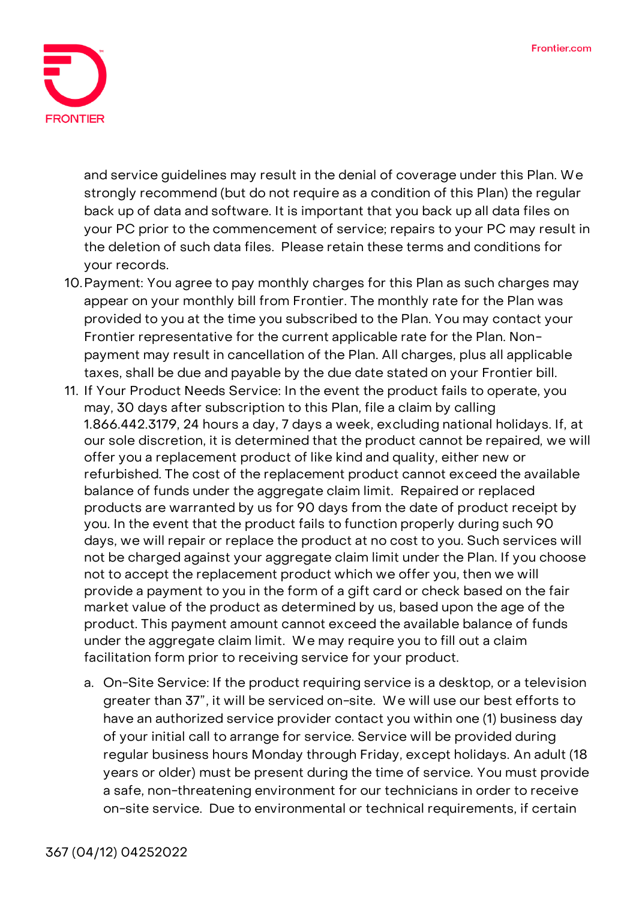

and service guidelines may result in the denial of coverage under this Plan. We strongly recommend (but do not require as a condition of this Plan) the regular back up of data and software. It is important that you back up all data files on your PC prior to the commencement of service; repairs to your PC may result in the deletion of such data files. Please retain these terms and conditions for your records.

- 10.**Payment:** You agree to pay monthly charges for this Plan as such charges may appear on your monthly bill from Frontier. The monthly rate for the Plan was provided to you at the time you subscribed to the Plan. You may contact your Frontier representative for the current applicable rate for the Plan. Nonpayment may result in cancellation of the Plan. All charges, plus all applicable taxes, shall be due and payable by the due date stated on your Frontier bill.
- 11. **If Your Product Needs Service:** In the event the product fails to operate, you may, 30 days after subscription to this Plan, file a claim by calling 1.866.442.3179, 24 hours a day, 7 days a week, excluding national holidays. If, at our sole discretion, it is determined that the product cannot be repaired, we will offer you a replacement product of like kind and quality, either new or refurbished. The cost of the replacement product cannot exceed the available balance of funds under the aggregate claim limit. Repaired or replaced products are warranted by us for 90 days from the date of product receipt by you. In the event that the product fails to function properly during such 90 days, we will repair or replace the product at no cost to you. Such services will not be charged against your aggregate claim limit under the Plan. If you choose not to accept the replacement product which we offer you, then we will provide a payment to you in the form of a gift card or check based on the fair market value of the product as determined by us, based upon the age of the product. This payment amount cannot exceed the available balance of funds under the aggregate claim limit. We may require you to fill out a claim facilitation form prior to receiving service for your product.
	- a. On-Site Service: If the product requiring service is a desktop, or a television greater than 37", it will be serviced on-site. We will use our best efforts to have an authorized service provider contact you within one (1) business day of your initial call to arrange for service. Service will be provided during regular business hours Monday through Friday, except holidays. An adult (18 years or older) must be present during the time of service. You must provide a safe, non-threatening environment for our technicians in order to receive on-site service. Due to environmental or technical requirements, if certain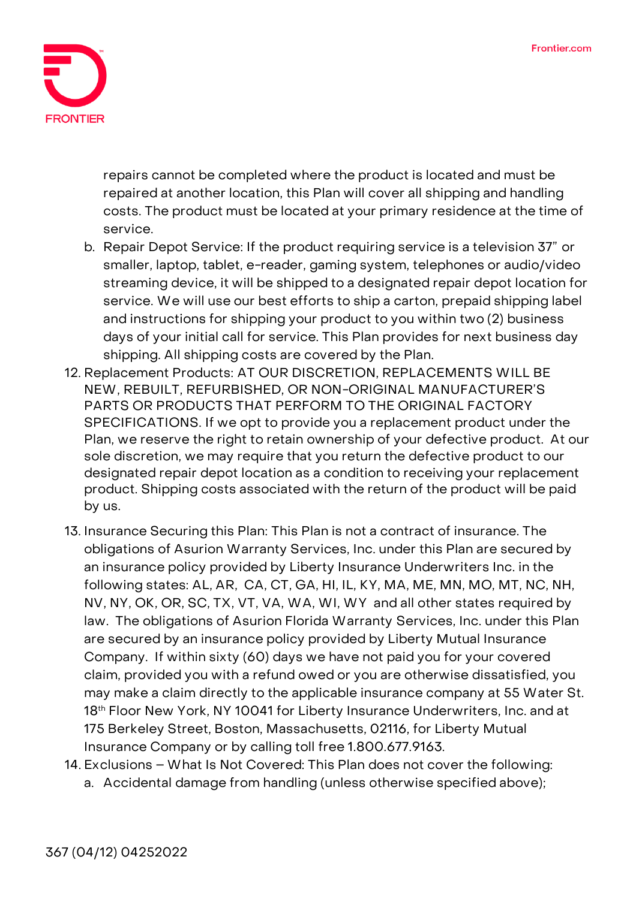

repairs cannot be completed where the product is located and must be repaired at another location, this Plan will cover all shipping and handling costs. The product must be located at your primary residence at the time of service.

- b. Repair Depot Service: If the product requiring service is a television 37" or smaller, laptop, tablet, e-reader, gaming system, telephones or audio/video streaming device, it will be shipped to a designated repair depot location for service. We will use our best efforts to ship a carton, prepaid shipping label and instructions for shipping your product to you within two (2) business days of your initial call for service. This Plan provides for next business day shipping. All shipping costs are covered by the Plan.
- 12. **Replacement Products: AT OUR DISCRETION, REPLACEMENTS WILL BE NEW, REBUILT, REFURBISHED, OR NON-ORIGINAL MANUFACTURER'S PARTS OR PRODUCTS THAT PERFORM TO THE ORIGINAL FACTORY SPECIFICATIONS.** If we opt to provide you a replacement product under the Plan, we reserve the right to retain ownership of your defective product. At our sole discretion, we may require that you return the defective product to our designated repair depot location as a condition to receiving your replacement product. Shipping costs associated with the return of the product will be paid by us.
- 13. **Insurance Securing this Plan:** This Plan is not a contract of insurance. The obligations of Asurion Warranty Services, Inc. under this Plan are secured by an insurance policy provided by Liberty Insurance Underwriters Inc. in the following states: AL, AR, CA, CT, GA, HI, IL, KY, MA, ME, MN, MO, MT, NC, NH, NV, NY, OK, OR, SC, TX, VT, VA, WA, WI, WY and all other states required by law. The obligations of Asurion Florida Warranty Services, Inc. under this Plan are secured by an insurance policy provided by Liberty Mutual Insurance Company. If within sixty (60) days we have not paid you for your covered claim, provided you with a refund owed or you are otherwise dissatisfied, you may make a claim directly to the applicable insurance company at 55 Water St. 18<sup>th</sup> Floor New York, NY 10041 for Liberty Insurance Underwriters, Inc. and at 175 Berkeley Street, Boston, Massachusetts, 02116, for Liberty Mutual Insurance Company or by calling toll free 1.800.677.9163.
- **14. Exclusions – What Is Not Covered: This Plan does not cover the following: a. Accidental damage from handling (unless otherwise specified above);**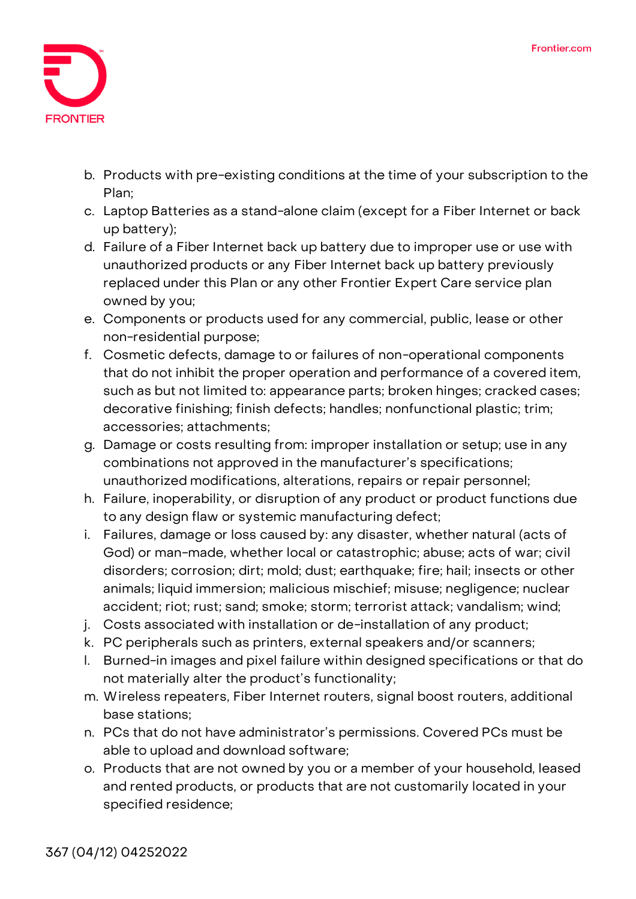

- **b. Products with pre-existing conditions at the time of your subscription to the Plan;**
- **c. Laptop Batteries as a stand-alone claim (except for a Fiber Internet or back up battery);**
- **d. Failure of a Fiber Internet back up battery due to improper use or use with unauthorized products or any Fiber Internet back up battery previously replaced under this Plan or any other Frontier Expert Care service plan owned by you;**
- **e. Components or products used for any commercial, public, lease or other non-residential purpose;**
- **f. Cosmetic defects, damage to or failures of non-operational components that do not inhibit the proper operation and performance of a covered item, such as but not limited to: appearance parts; broken hinges; cracked cases; decorative finishing; finish defects; handles; nonfunctional plastic; trim; accessories; attachments;**
- **g. Damage or costs resulting from: improper installation or setup; use in any combinations not approved in the manufacturer's specifications; unauthorized modifications, alterations, repairs or repair personnel;**
- **h. Failure, inoperability, or disruption of any product or product functions due to any design flaw or systemic manufacturing defect;**
- **i. Failures, damage or loss caused by: any disaster, whether natural (acts of God) or man-made, whether local or catastrophic; abuse; acts of war; civil disorders; corrosion; dirt; mold; dust; earthquake; fire; hail; insects or other animals; liquid immersion; malicious mischief; misuse; negligence; nuclear accident; riot; rust; sand; smoke; storm; terrorist attack; vandalism; wind;**
- **j. Costs associated with installation or de-installation of any product;**
- **k. PC peripherals such as printers, external speakers and/or scanners;**
- **l. Burned-in images and pixel failure within designed specifications or that do not materially alter the product's functionality;**
- **m. Wireless repeaters, Fiber Internet routers, signal boost routers, additional base stations;**
- **n. PCs that do not have administrator's permissions. Covered PCs must be able to upload and download software;**
- **o. Products that are not owned by you or a member of your household, leased and rented products, or products that are not customarily located in your specified residence;**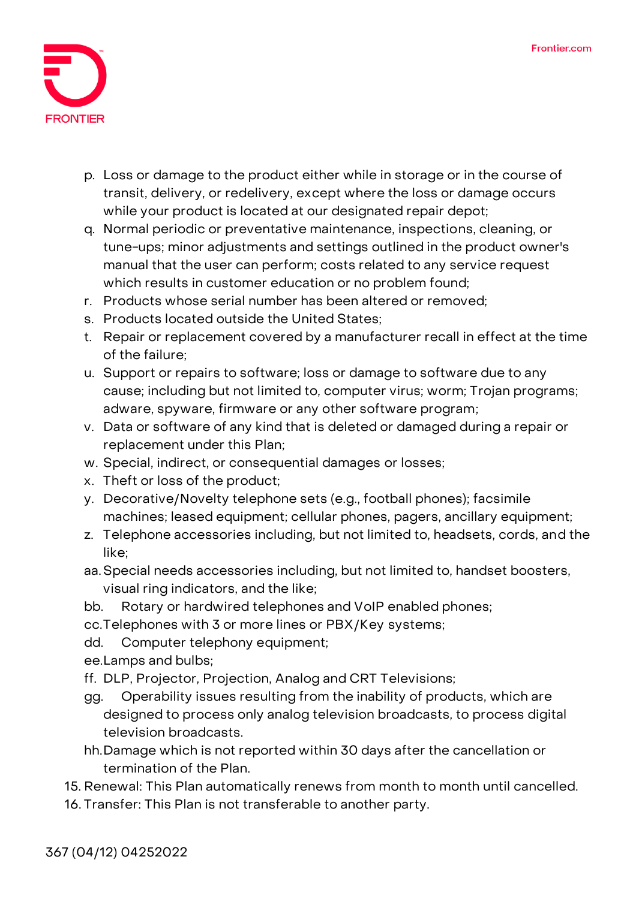

- **p. Loss or damage to the product either while in storage or in the course of transit, delivery, or redelivery, except where the loss or damage occurs while your product is located at our designated repair depot;**
- **q. Normal periodic or preventative maintenance, inspections, cleaning, or tune-ups; minor adjustments and settings outlined in the product owner's manual that the user can perform; costs related to any service request which results in customer education or no problem found;**
- **r. Products whose serial number has been altered or removed;**
- **s. Products located outside the United States;**
- **t. Repair or replacement covered by a manufacturer recall in effect at the time of the failure;**
- **u. Support or repairs to software; loss or damage to software due to any cause; including but not limited to, computer virus; worm; Trojan programs; adware, spyware, firmware or any other software program;**
- **v. Data or software of any kind that is deleted or damaged during a repair or replacement under this Plan;**
- **w. Special, indirect, or consequential damages or losses;**
- **x. Theft or loss of the product;**
- **y. Decorative/Novelty telephone sets (e.g., football phones); facsimile machines; leased equipment; cellular phones, pagers, ancillary equipment;**
- **z. Telephone accessories including, but not limited to, headsets, cords, and the like;**
- **aa.Special needs accessories including, but not limited to, handset boosters, visual ring indicators, and the like;**
- **bb. Rotary or hardwired telephones and VoIP enabled phones;**

**cc.Telephones with 3 or more lines or PBX/Key systems;** 

- **dd. Computer telephony equipment;**
- **ee.Lamps and bulbs;**
- **ff. DLP, Projector, Projection, Analog and CRT Televisions;**
- **gg. Operability issues resulting from the inability of products, which are designed to process only analog television broadcasts, to process digital television broadcasts.**
- **hh.Damage which is not reported within 30 days after the cancellation or termination of the Plan.**
- 15. **Renewal:** This Plan automatically renews from month to month until cancelled.
- 16. **Transfer:** This Plan is not transferable to another party.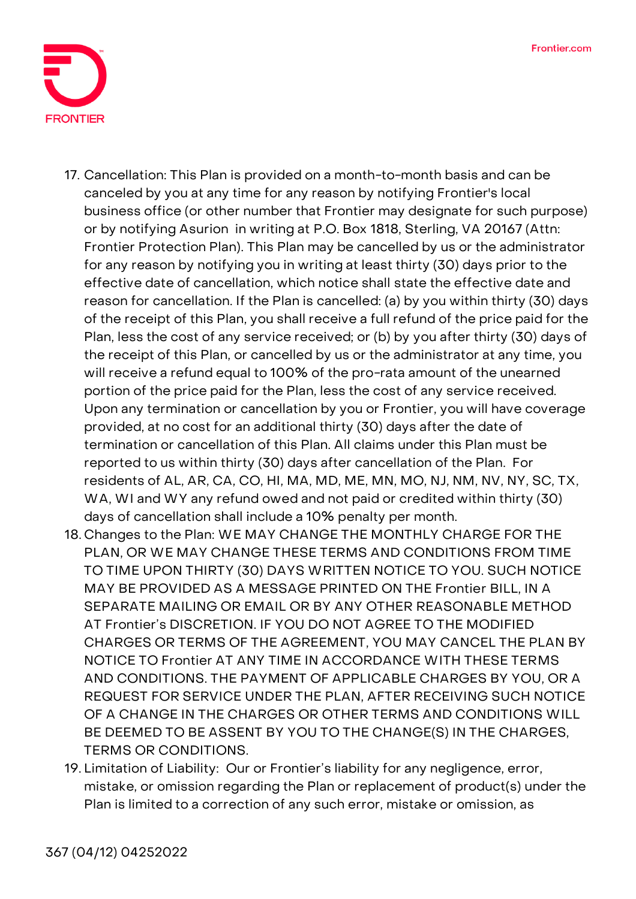

- 17. **Cancellation:** This Plan is provided on a month-to-month basis and can be canceled by you at any time for any reason by notifying Frontier's local business office (or other number that Frontier may designate for such purpose) or by notifying Asurion in writing at P.O. Box 1818, Sterling, VA 20167 (Attn: Frontier Protection Plan). This Plan may be cancelled by us or the administrator for any reason by notifying you in writing at least thirty (30) days prior to the effective date of cancellation, which notice shall state the effective date and reason for cancellation. If the Plan is cancelled: (a) by you within thirty (30) days of the receipt of this Plan, you shall receive a full refund of the price paid for the Plan, less the cost of any service received; or (b) by you after thirty (30) days of the receipt of this Plan, or cancelled by us or the administrator at any time, you will receive a refund equal to 100% of the pro-rata amount of the unearned portion of the price paid for the Plan, less the cost of any service received. Upon any termination or cancellation by you or Frontier, you will have coverage provided, at no cost for an additional thirty (30) days after the date of termination or cancellation of this Plan. All claims under this Plan must be reported to us within thirty (30) days after cancellation of the Plan. For residents of AL, AR, CA, CO, HI, MA, MD, ME, MN, MO, NJ, NM, NV, NY, SC, TX, WA, WI and WY any refund owed and not paid or credited within thirty (30) days of cancellation shall include a 10% penalty per month.
- 18. **Changes to the Plan:** WE MAY CHANGE THE MONTHLY CHARGE FOR THE PLAN, OR WE MAY CHANGE THESE TERMS AND CONDITIONS FROM TIME TO TIME UPON THIRTY (30) DAYS WRITTEN NOTICE TO YOU. SUCH NOTICE MAY BE PROVIDED AS A MESSAGE PRINTED ON THE Frontier BILL, IN A SEPARATE MAILING OR EMAIL OR BY ANY OTHER REASONABLE METHOD AT Frontier's DISCRETION. IF YOU DO NOT AGREE TO THE MODIFIED CHARGES OR TERMS OF THE AGREEMENT, YOU MAY CANCEL THE PLAN BY NOTICE TO Frontier AT ANY TIME IN ACCORDANCE WITH THESE TERMS AND CONDITIONS. THE PAYMENT OF APPLICABLE CHARGES BY YOU, OR A REQUEST FOR SERVICE UNDER THE PLAN, AFTER RECEIVING SUCH NOTICE OF A CHANGE IN THE CHARGES OR OTHER TERMS AND CONDITIONS WILL BE DEEMED TO BE ASSENT BY YOU TO THE CHANGE(S) IN THE CHARGES, TERMS OR CONDITIONS.
- 19. **Limitation of Liability:** Our or Frontier's liability for any negligence, error, mistake, or omission regarding the Plan or replacement of product(s) under the Plan is limited to a correction of any such error, mistake or omission, as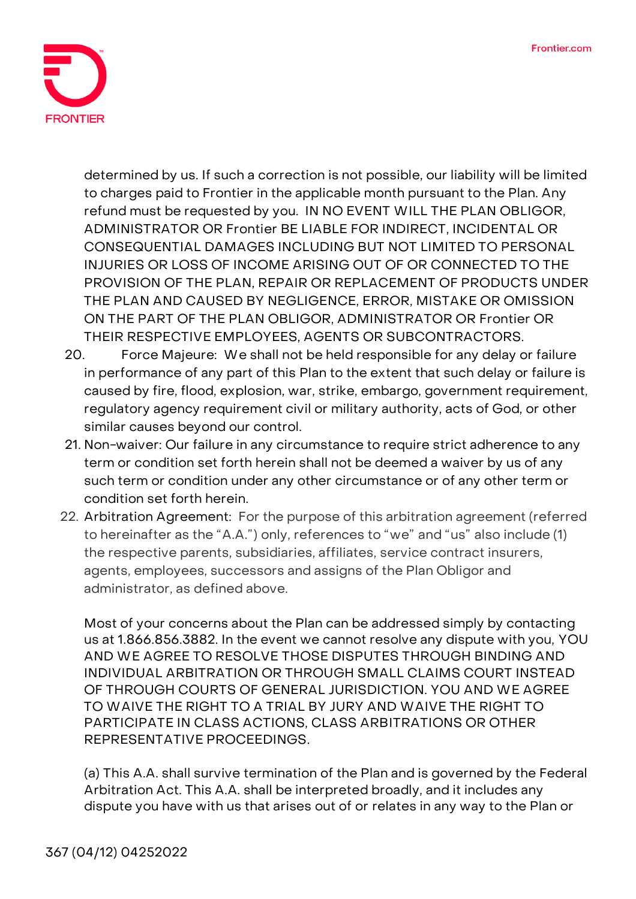

determined by us. If such a correction is not possible, our liability will be limited to charges paid to Frontier in the applicable month pursuant to the Plan. Any refund must be requested by you. IN NO EVENT WILL THE PLAN OBLIGOR, ADMINISTRATOR OR Frontier BE LIABLE FOR INDIRECT, INCIDENTAL OR CONSEQUENTIAL DAMAGES INCLUDING BUT NOT LIMITED TO PERSONAL INJURIES OR LOSS OF INCOME ARISING OUT OF OR CONNECTED TO THE PROVISION OF THE PLAN, REPAIR OR REPLACEMENT OF PRODUCTS UNDER THE PLAN AND CAUSED BY NEGLIGENCE, ERROR, MISTAKE OR OMISSION ON THE PART OF THE PLAN OBLIGOR, ADMINISTRATOR OR Frontier OR THEIR RESPECTIVE EMPLOYEES, AGENTS OR SUBCONTRACTORS.

- 20. **Force Majeure:** We shall not be held responsible for any delay or failure in performance of any part of this Plan to the extent that such delay or failure is caused by fire, flood, explosion, war, strike, embargo, government requirement, regulatory agency requirement civil or military authority, acts of God, or other similar causes beyond our control.
- 21. **Non-waiver:** Our failure in any circumstance to require strict adherence to any term or condition set forth herein shall not be deemed a waiver by us of any such term or condition under any other circumstance or of any other term or condition set forth herein.
- **22. Arbitration Agreement: For the purpose of this arbitration agreement (referred to hereinafter as the "A.A.") only, references to "we" and "us" also include (1) the respective parents, subsidiaries, affiliates, service contract insurers, agents, employees, successors and assigns of the Plan Obligor and administrator, as defined above.**

Most of your concerns about the Plan can be addressed simply by contacting us at 1.866.856.3882. In the event we cannot resolve any dispute with you, **YOU AND WE AGREE TO RESOLVE THOSE DISPUTES THROUGH BINDING AND INDIVIDUAL ARBITRATION OR THROUGH SMALL CLAIMS COURT INSTEAD OF THROUGH COURTS OF GENERAL JURISDICTION. YOU AND WE AGREE TO WAIVE THE RIGHT TO A TRIAL BY JURY AND WAIVE THE RIGHT TO PARTICIPATE IN CLASS ACTIONS, CLASS ARBITRATIONS OR OTHER REPRESENTATIVE PROCEEDINGS**.

**(a)** This A.A. shall survive termination of the Plan and is governed by the Federal Arbitration Act. This A.A. shall be interpreted broadly, and it includes any dispute you have with us that arises out of or relates in any way to the Plan or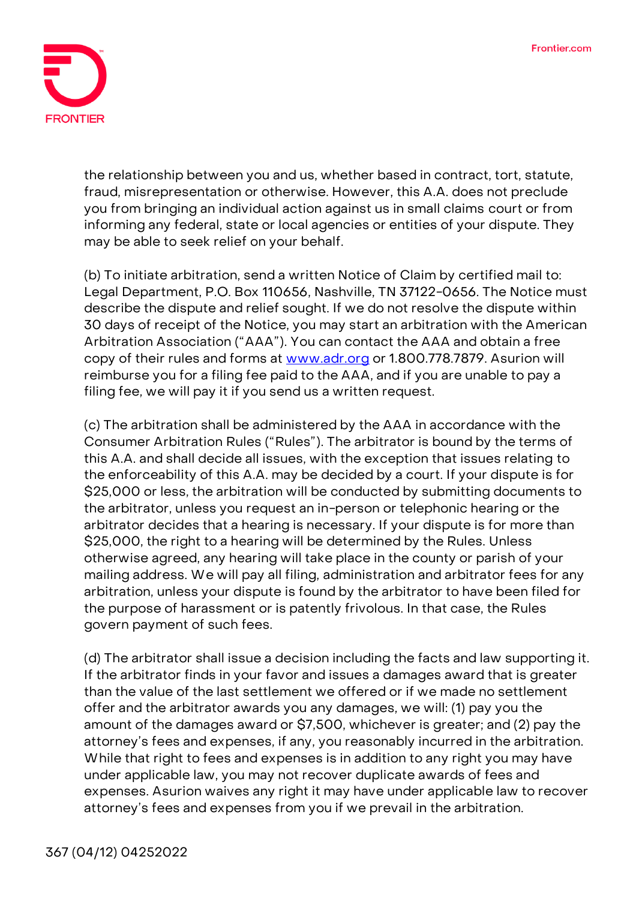

the relationship between you and us, whether based in contract, tort, statute, fraud, misrepresentation or otherwise. However, this A.A. does not preclude you from bringing an individual action against us in small claims court or from informing any federal, state or local agencies or entities of your dispute. They may be able to seek relief on your behalf.

**(b)** To initiate arbitration, send a written Notice of Claim by certified mail to: Legal Department, P.O. Box 110656, Nashville, TN 37122-0656. The Notice must describe the dispute and relief sought. If we do not resolve the dispute within 30 days of receipt of the Notice, you may start an arbitration with the American Arbitration Association ("AAA"). You can contact the AAA and obtain a free copy of their rules and forms at [www.adr.org](http://www.adr.org/) or 1.800.778.7879. Asurion will reimburse you for a filing fee paid to the AAA, and if you are unable to pay a filing fee, we will pay it if you send us a written request.

**(c)** The arbitration shall be administered by the AAA in accordance with the Consumer Arbitration Rules ("Rules"). The arbitrator is bound by the terms of this A.A. and shall decide all issues, with the exception that issues relating to the enforceability of this A.A. may be decided by a court. If your dispute is for \$25,000 or less, the arbitration will be conducted by submitting documents to the arbitrator, unless you request an in-person or telephonic hearing or the arbitrator decides that a hearing is necessary. If your dispute is for more than \$25,000, the right to a hearing will be determined by the Rules. Unless otherwise agreed, any hearing will take place in the county or parish of your mailing address. We will pay all filing, administration and arbitrator fees for any arbitration, unless your dispute is found by the arbitrator to have been filed for the purpose of harassment or is patently frivolous. In that case, the Rules govern payment of such fees.

**(d)** The arbitrator shall issue a decision including the facts and law supporting it. If the arbitrator finds in your favor and issues a damages award that is greater than the value of the last settlement we offered or if we made no settlement offer and the arbitrator awards you any damages, we will: (1) pay you the amount of the damages award or \$7,500, whichever is greater; and (2) pay the attorney's fees and expenses, if any, you reasonably incurred in the arbitration. While that right to fees and expenses is in addition to any right you may have under applicable law, you may not recover duplicate awards of fees and expenses. Asurion waives any right it may have under applicable law to recover attorney's fees and expenses from you if we prevail in the arbitration.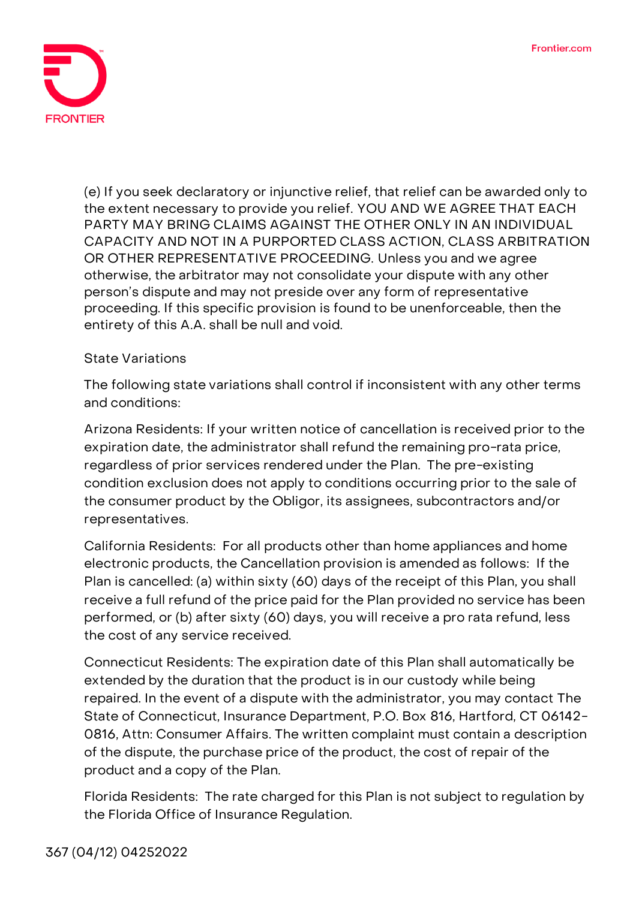

**(e)** If you seek declaratory or injunctive relief, that relief can be awarded only to the extent necessary to provide you relief. **YOU AND WE AGREE THAT EACH PARTY MAY BRING CLAIMS AGAINST THE OTHER ONLY IN AN INDIVIDUAL CAPACITY AND NOT IN A PURPORTED CLASS ACTION, CLASS ARBITRATION OR OTHER REPRESENTATIVE PROCEEDING.** Unless you and we agree otherwise, the arbitrator may not consolidate your dispute with any other person's dispute and may not preside over any form of representative proceeding. If this specific provision is found to be unenforceable, then the entirety of this A.A. shall be null and void.

## **State Variations**

The following state variations shall control if inconsistent with any other terms and conditions:

**Arizona Residents:** If your written notice of cancellation is received prior to the expiration date, the administrator shall refund the remaining pro-rata price, regardless of prior services rendered under the Plan. The pre-existing condition exclusion does not apply to conditions occurring prior to the sale of the consumer product by the Obligor, its assignees, subcontractors and/or representatives.

**California Residents:** For all products other than home appliances and home electronic products, the Cancellation provision is amended as follows: If the Plan is cancelled: (a) within sixty (60) days of the receipt of this Plan, you shall receive a full refund of the price paid for the Plan provided no service has been performed, or (b) after sixty (60) days, you will receive a pro rata refund, less the cost of any service received.

**Connecticut Residents:** The expiration date of this Plan shall automatically be extended by the duration that the product is in our custody while being repaired. In the event of a dispute with the administrator, you may contact The State of Connecticut, Insurance Department, P.O. Box 816, Hartford, CT 06142- 0816, Attn: Consumer Affairs. The written complaint must contain a description of the dispute, the purchase price of the product, the cost of repair of the product and a copy of the Plan.

**Florida Residents:** The rate charged for this Plan is not subject to regulation by the Florida Office of Insurance Regulation.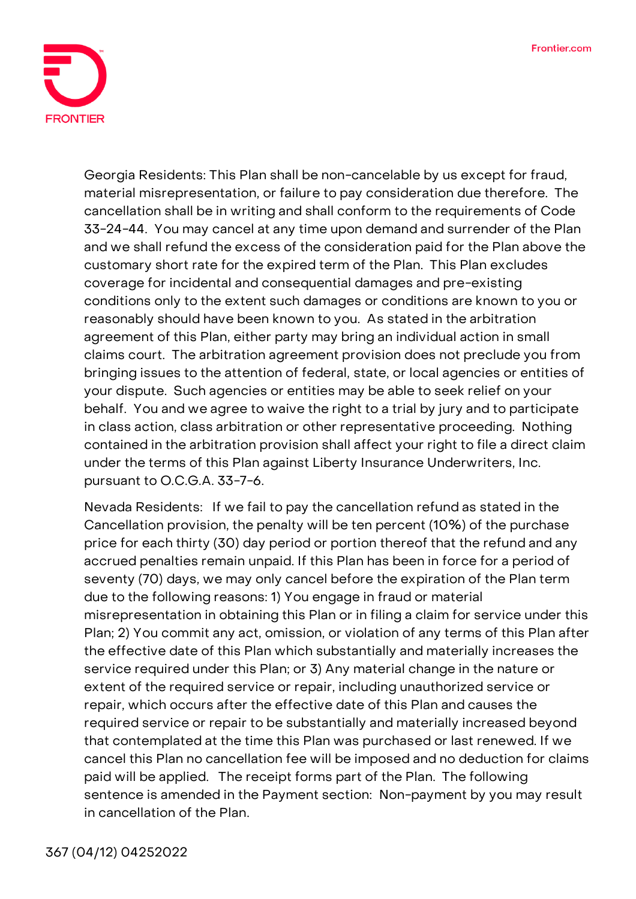

**Georgia Residents:** This Plan shall be non-cancelable by us except for fraud, material misrepresentation, or failure to pay consideration due therefore. The cancellation shall be in writing and shall conform to the requirements of Code 33-24-44. You may cancel at any time upon demand and surrender of the Plan and we shall refund the excess of the consideration paid for the Plan above the customary short rate for the expired term of the Plan. This Plan excludes coverage for incidental and consequential damages and pre-existing conditions only to the extent such damages or conditions are known to you or reasonably should have been known to you. As stated in the arbitration agreement of this Plan, either party may bring an individual action in small claims court. The arbitration agreement provision does not preclude you from bringing issues to the attention of federal, state, or local agencies or entities of your dispute. Such agencies or entities may be able to seek relief on your behalf. You and we agree to waive the right to a trial by jury and to participate in class action, class arbitration or other representative proceeding. Nothing contained in the arbitration provision shall affect your right to file a direct claim under the terms of this Plan against Liberty Insurance Underwriters, Inc. pursuant to O.C.G.A. 33-7-6.

**Nevada Residents:** If we fail to pay the cancellation refund as stated in the Cancellation provision, the penalty will be ten percent (10%) of the purchase price for each thirty (30) day period or portion thereof that the refund and any accrued penalties remain unpaid. If this Plan has been in force for a period of seventy (70) days, we may only cancel before the expiration of the Plan term due to the following reasons: 1) You engage in fraud or material misrepresentation in obtaining this Plan or in filing a claim for service under this Plan; 2) You commit any act, omission, or violation of any terms of this Plan after the effective date of this Plan which substantially and materially increases the service required under this Plan; or 3) Any material change in the nature or extent of the required service or repair, including unauthorized service or repair, which occurs after the effective date of this Plan and causes the required service or repair to be substantially and materially increased beyond that contemplated at the time this Plan was purchased or last renewed. If we cancel this Plan no cancellation fee will be imposed and no deduction for claims paid will be applied. The receipt forms part of the Plan. The following sentence is amended in the Payment section: Non-payment by you may result in cancellation of the Plan.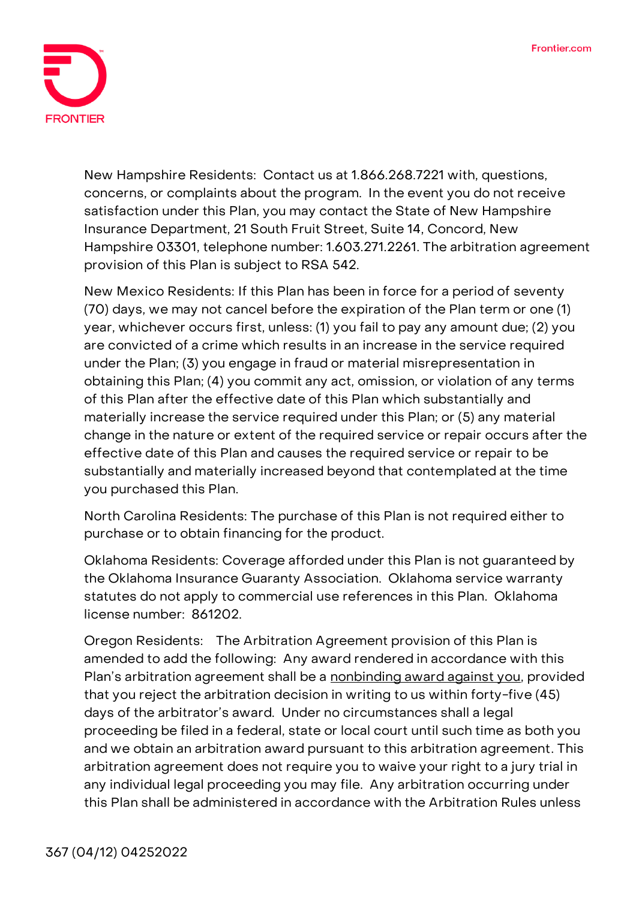

**New Hampshire Residents:** Contact us at 1.866.268.7221 with, questions, concerns, or complaints about the program. In the event you do not receive satisfaction under this Plan, you may contact the State of New Hampshire Insurance Department, 21 South Fruit Street, Suite 14, Concord, New Hampshire 03301, telephone number: 1.603.271.2261. The arbitration agreement provision of this Plan is subject to RSA 542.

**New Mexico Residents:** If this Plan has been in force for a period of seventy (70) days, we may not cancel before the expiration of the Plan term or one (1) year, whichever occurs first, unless: (1) you fail to pay any amount due; (2) you are convicted of a crime which results in an increase in the service required under the Plan; (3) you engage in fraud or material misrepresentation in obtaining this Plan; (4) you commit any act, omission, or violation of any terms of this Plan after the effective date of this Plan which substantially and materially increase the service required under this Plan; or (5) any material change in the nature or extent of the required service or repair occurs after the effective date of this Plan and causes the required service or repair to be substantially and materially increased beyond that contemplated at the time you purchased this Plan.

**North Carolina Residents:** The purchase of this Plan is not required either to purchase or to obtain financing for the product.

**Oklahoma Residents:** Coverage afforded under this Plan is not guaranteed by the Oklahoma Insurance Guaranty Association. Oklahoma service warranty statutes do not apply to commercial use references in this Plan. Oklahoma license number: 861202.

**Oregon Residents:** The Arbitration Agreement provision of this Plan is amended to add the following: **Any award rendered in accordance with this Plan's arbitration agreement shall be a nonbinding award against you,** provided that you reject the arbitration decision in writing to us within forty-five (45) days of the arbitrator's award. Under no circumstances shall a legal proceeding be filed in a federal, state or local court until such time as both you and we obtain an arbitration award pursuant to this arbitration agreement. This arbitration agreement does not require you to waive your right to a jury trial in any individual legal proceeding you may file. Any arbitration occurring under this Plan shall be administered in accordance with the Arbitration Rules unless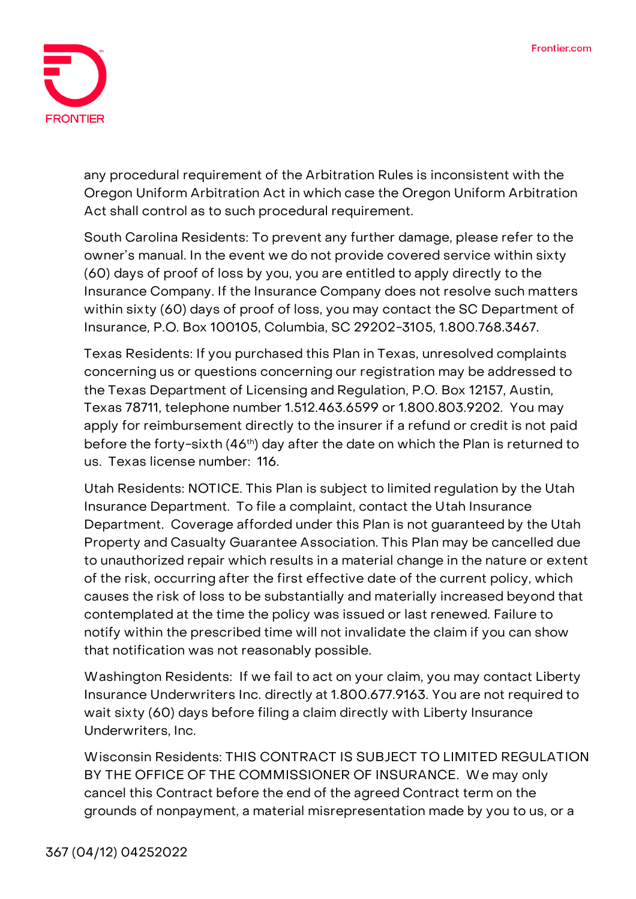

any procedural requirement of the Arbitration Rules is inconsistent with the Oregon Uniform Arbitration Act in which case the Oregon Uniform Arbitration Act shall control as to such procedural requirement.

**South Carolina Residents:** To prevent any further damage, please refer to the owner's manual. In the event we do not provide covered service within sixty (60) days of proof of loss by you, you are entitled to apply directly to the Insurance Company. If the Insurance Company does not resolve such matters within sixty (60) days of proof of loss, you may contact the SC Department of Insurance, P.O. Box 100105, Columbia, SC 29202-3105, 1.800.768.3467.

**Texas Residents:** If you purchased this Plan in Texas, unresolved complaints concerning us or questions concerning our registration may be addressed to the Texas Department of Licensing and Regulation, P.O. Box 12157, Austin, Texas 78711, telephone number 1.512.463.6599 or 1.800.803.9202. You may apply for reimbursement directly to the insurer if a refund or credit is not paid before the forty-sixth (46<sup>th</sup>) day after the date on which the Plan is returned to us. Texas license number: 116.

**Utah Residents: NOTICE. This Plan is subject to limited regulation by the Utah Insurance Department. To file a complaint, contact the Utah Insurance Department.** Coverage afforded under this Plan is not guaranteed by the Utah Property and Casualty Guarantee Association. This Plan may be cancelled due to unauthorized repair which results in a material change in the nature or extent of the risk, occurring after the first effective date of the current policy, which causes the risk of loss to be substantially and materially increased beyond that contemplated at the time the policy was issued or last renewed. Failure to notify within the prescribed time will not invalidate the claim if you can show that notification was not reasonably possible.

**Washington Residents:** If we fail to act on your claim, you may contact Liberty Insurance Underwriters Inc. directly at 1.800.677.9163. You are not required to wait sixty (60) days before filing a claim directly with Liberty Insurance Underwriters, Inc.

**Wisconsin Residents: THIS CONTRACT IS SUBJECT TO LIMITED REGULATION BY THE OFFICE OF THE COMMISSIONER OF INSURANCE**. We may only cancel this Contract before the end of the agreed Contract term on the grounds of nonpayment, a material misrepresentation made by you to us, or a